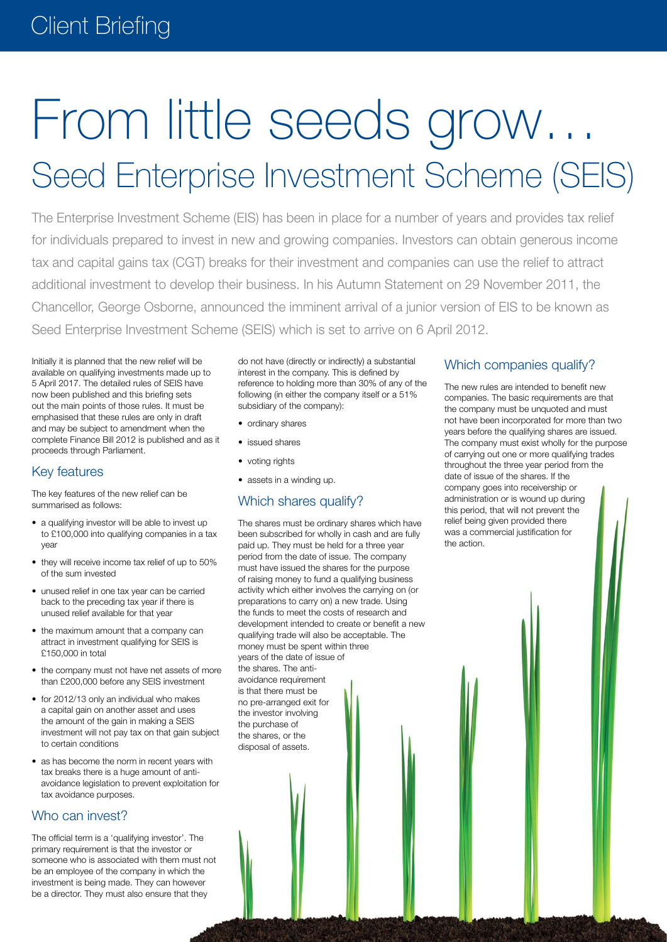# From little seeds grow… Seed Enterprise Investment Scheme (SEIS)

The Enterprise Investment Scheme (EIS) has been in place for a number of years and provides tax relief for individuals prepared to invest in new and growing companies. Investors can obtain generous income tax and capital gains tax (CGT) breaks for their investment and companies can use the relief to attract additional investment to develop their business. In his Autumn Statement on 29 November 2011, the Chancellor, George Osborne, announced the imminent arrival of a junior version of EIS to be known as Seed Enterprise Investment Scheme (SEIS) which is set to arrive on 6 April 2012.

Initially it is planned that the new relief will be available on qualifying investments made up to 5 April 2017. The detailed rules of SEIS have now been published and this briefing sets out the main points of those rules. It must be emphasised that these rules are only in draft and may be subject to amendment when the complete Finance Bill 2012 is published and as it proceeds through Parliament.

## Key features

The key features of the new relief can be summarised as follows:

- a qualifying investor will be able to invest up to £100,000 into qualifying companies in a tax year
- they will receive income tax relief of up to 50% of the sum invested
- unused relief in one tax year can be carried back to the preceding tax year if there is unused relief available for that year
- the maximum amount that a company can attract in investment qualifying for SEIS is £150,000 in total
- the company must not have net assets of more than £200,000 before any SEIS investment
- for 2012/13 only an individual who makes a capital gain on another asset and uses the amount of the gain in making a SEIS investment will not pay tax on that gain subject to certain conditions
- as has become the norm in recent years with tax breaks there is a huge amount of antiavoidance legislation to prevent exploitation for tax avoidance purposes.

## Who can invest?

The official term is a 'qualifying investor'. The primary requirement is that the investor or someone who is associated with them must not be an employee of the company in which the investment is being made. They can however be a director. They must also ensure that they

do not have (directly or indirectly) a substantial interest in the company. This is defined by reference to holding more than 30% of any of the following (in either the company itself or a 51% subsidiary of the company):

- ordinary shares
- • issued shares
- voting rights
- assets in a winding up.

# Which shares qualify?

The shares must be ordinary shares which have been subscribed for wholly in cash and are fully paid up. They must be held for a three year period from the date of issue. The company must have issued the shares for the purpose of raising money to fund a qualifying business activity which either involves the carrying on (or preparations to carry on) a new trade. Using the funds to meet the costs of research and development intended to create or benefit a new qualifying trade will also be acceptable. The money must be spent within three years of the date of issue of the shares. The antiavoidance requirement is that there must be no pre-arranged exit for the investor involving the purchase of the shares, or the disposal of assets.

## Which companies qualify?

The new rules are intended to benefit new companies. The basic requirements are that the company must be unquoted and must not have been incorporated for more than two years before the qualifying shares are issued. The company must exist wholly for the purpose of carrying out one or more qualifying trades throughout the three year period from the date of issue of the shares. If the company goes into receivership or administration or is wound up during this period, that will not prevent the relief being given provided there was a commercial justification for the action.